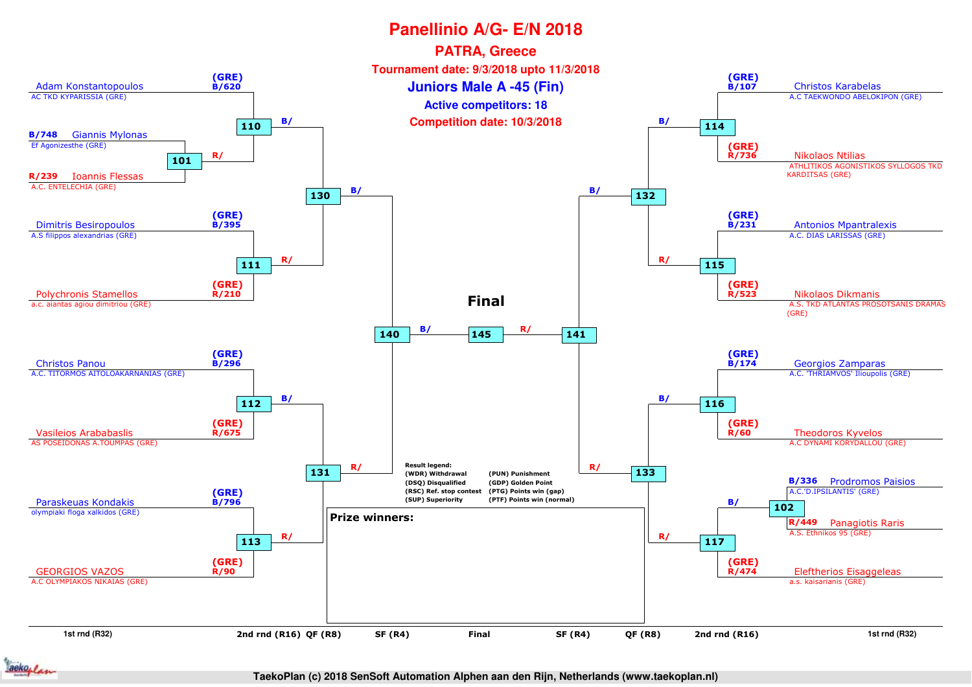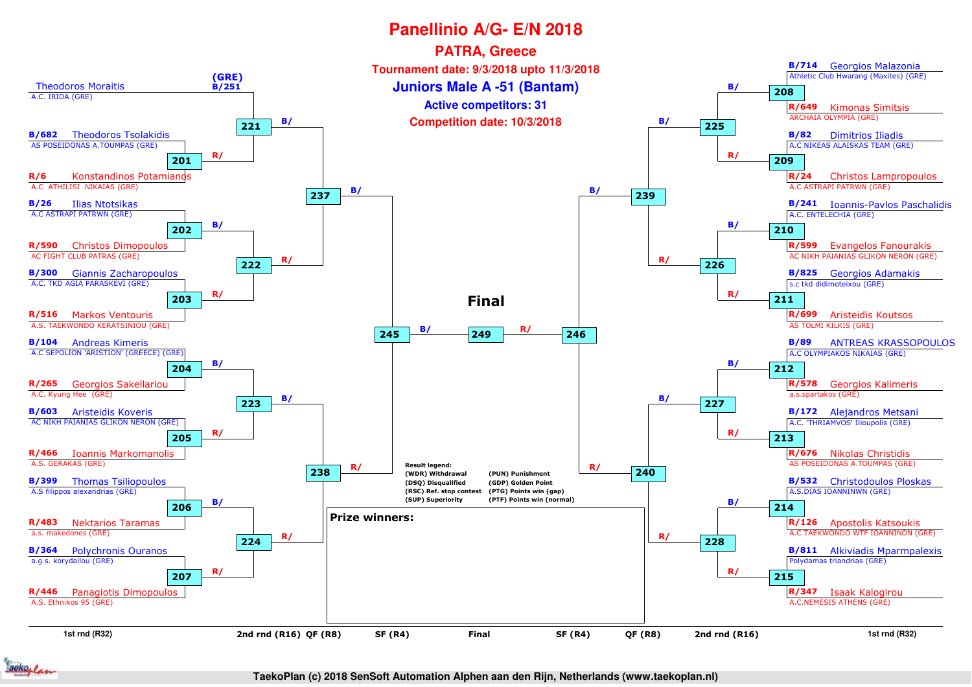

**TaekoPlan (c) 2018 SenSoft Automation Alphen aan den Rijn, Netherlands (www.taekoplan.nl)**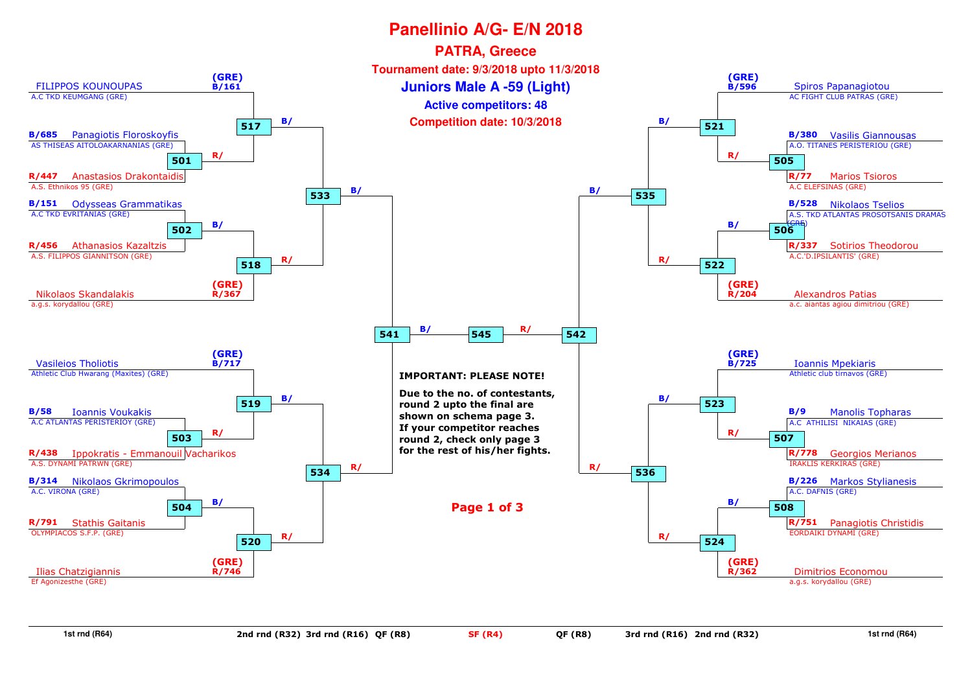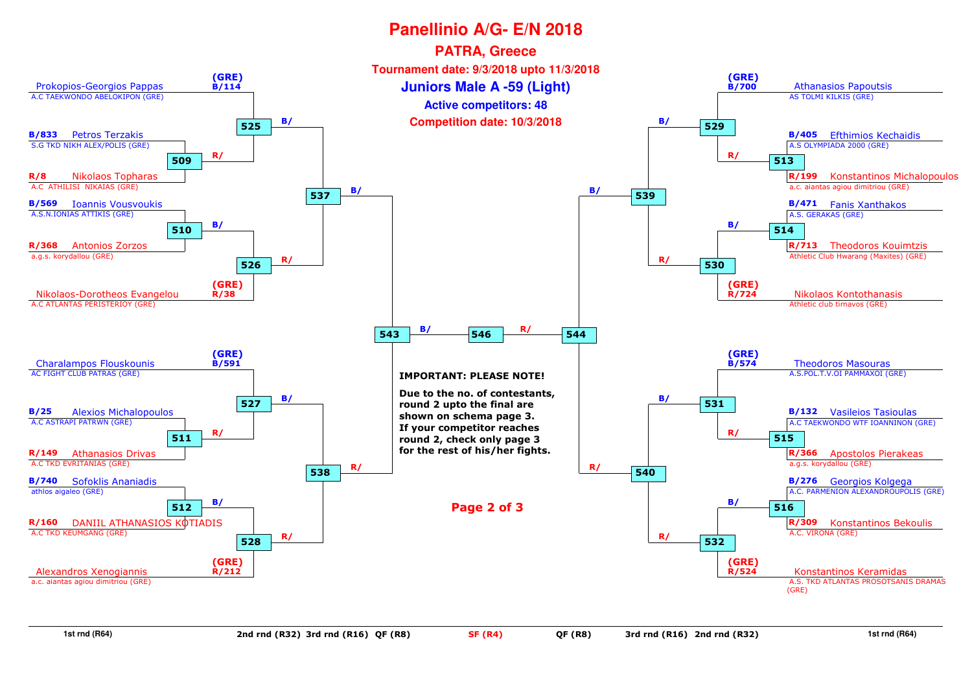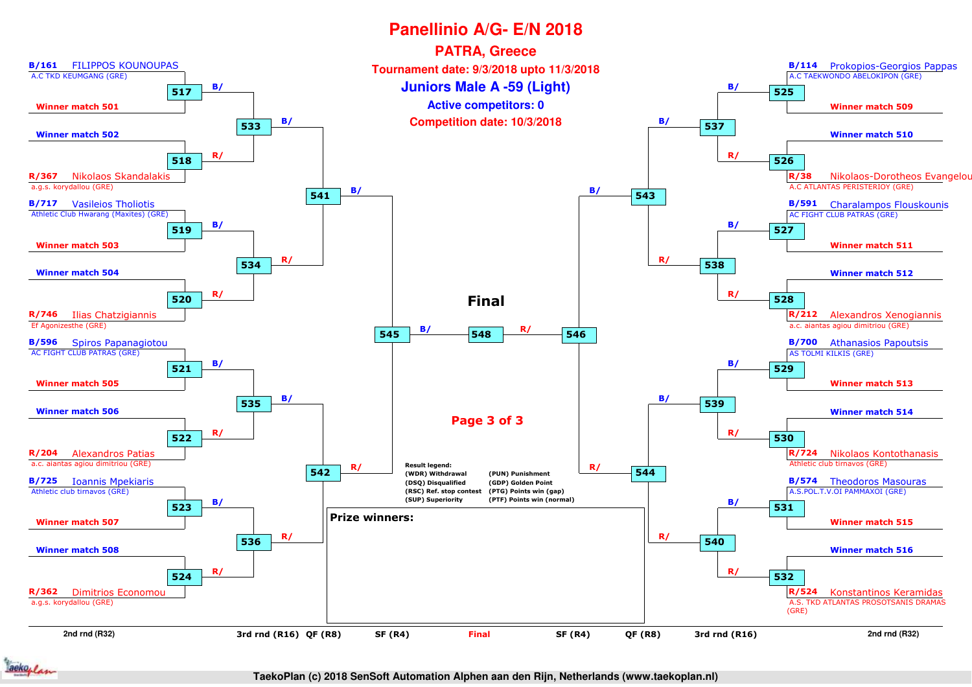



**TaekoPlan (c) 2018 SenSoft Automation Alphen aan den Rijn, Netherlands (www.taekoplan.nl)**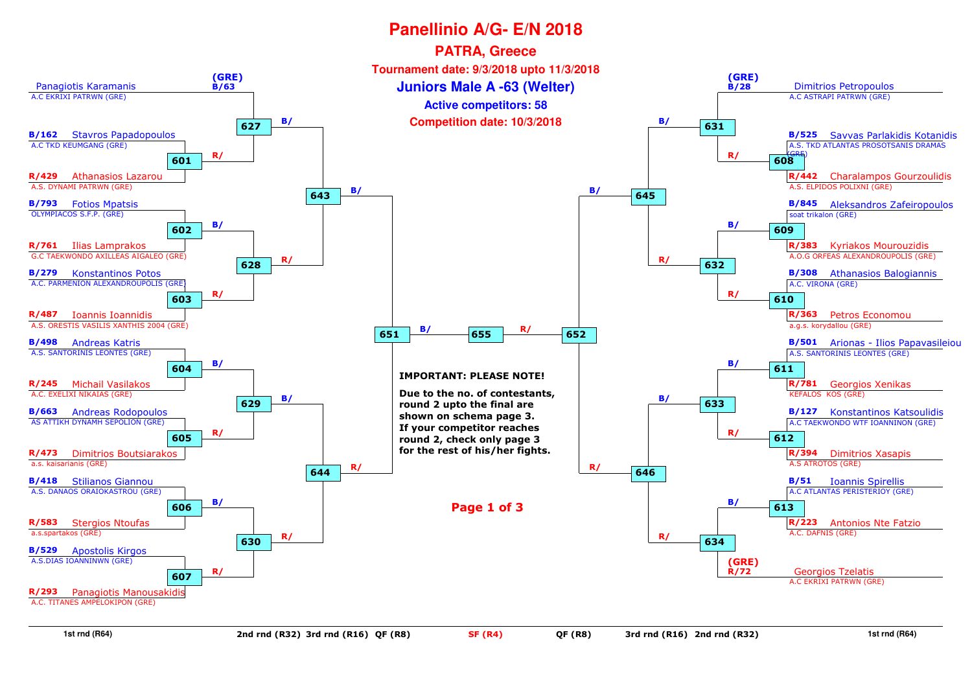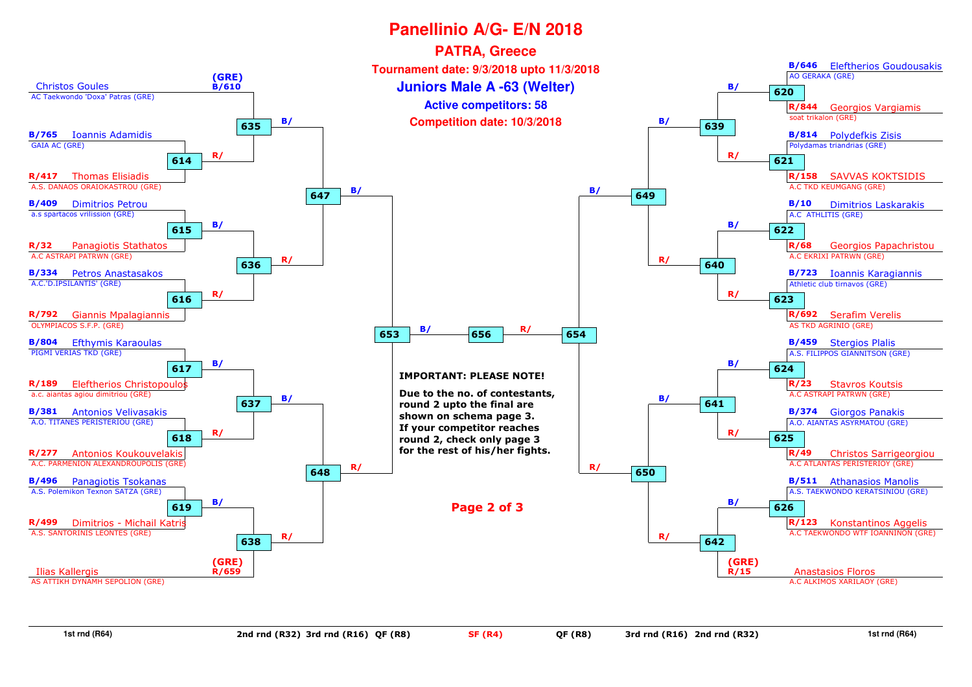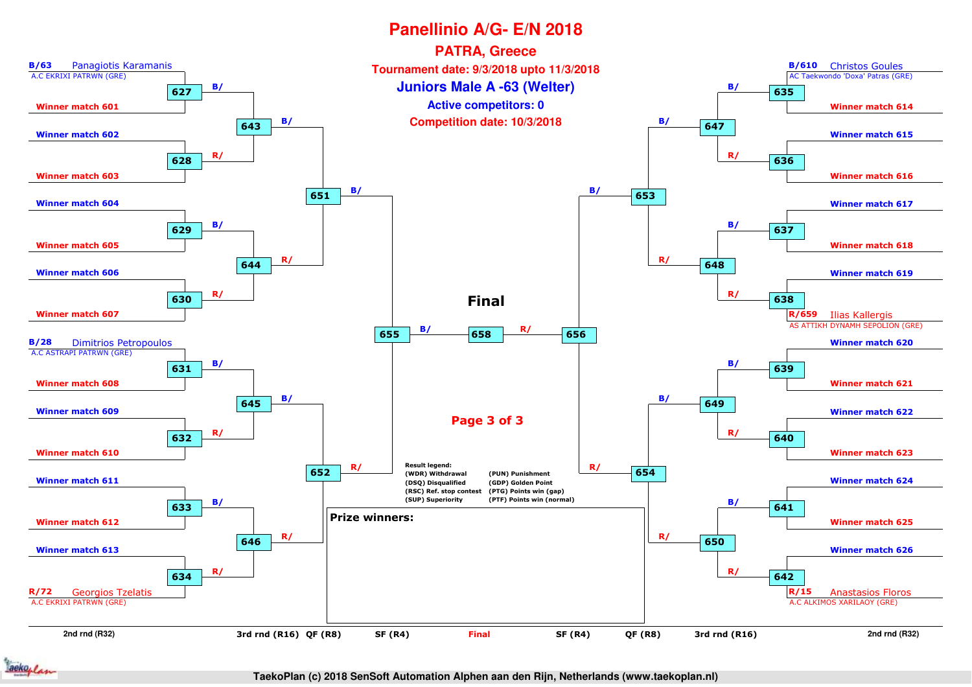

**TaekoPlan (c) 2018 SenSoft Automation Alphen aan den Rijn, Netherlands (www.taekoplan.nl)**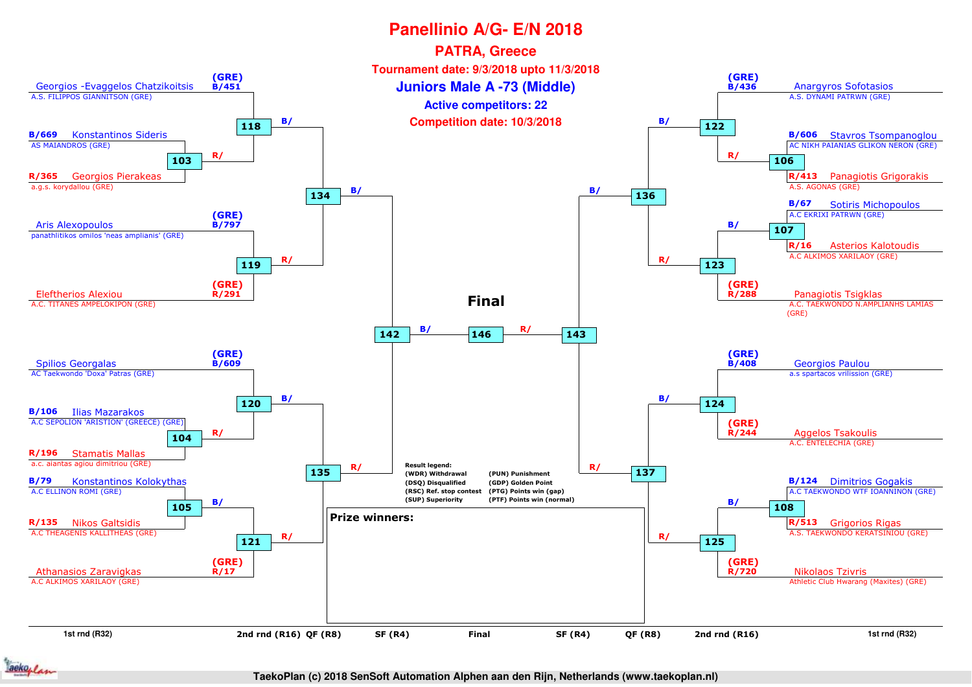

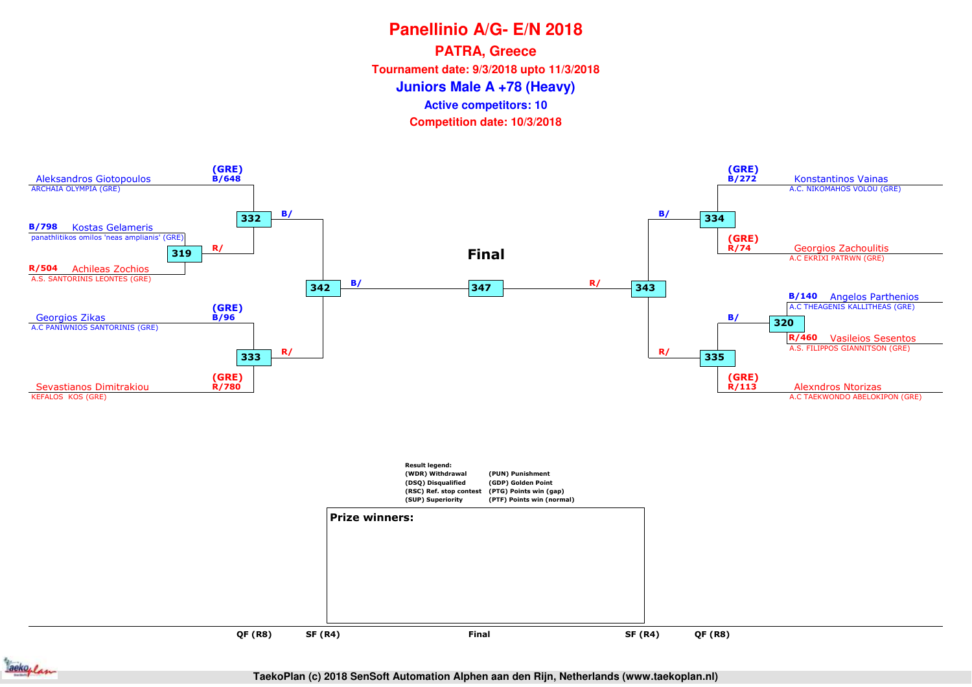**PATRA, Greece**

**Tournament date: 9/3/2018 upto 11/3/2018**

**Juniors Male A +78 (Heavy)**

**Active competitors: 10**

**Competition date: 10/3/2018**



ackoplan

**TaekoPlan (c) 2018 SenSoft Automation Alphen aan den Rijn, Netherlands (www.taekoplan.nl)**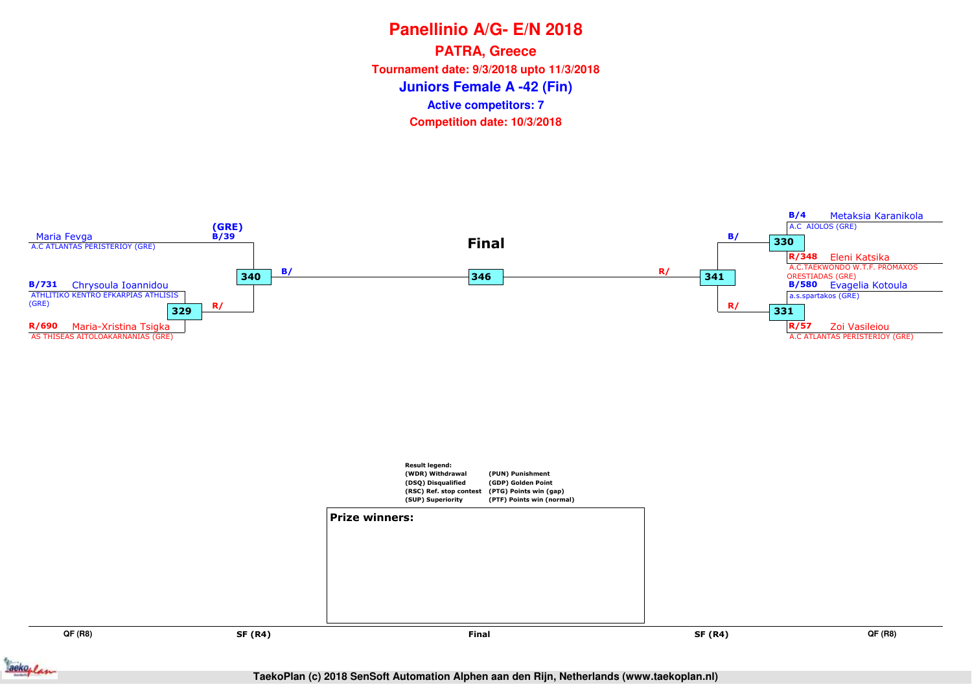**Panellinio A/G- E/N 2018Juniors Female A -42 (Fin)PATRA, Greece Tournament date: 9/3/2018 upto 11/3/2018Competition date: 10/3/2018 Active competitors: 7**



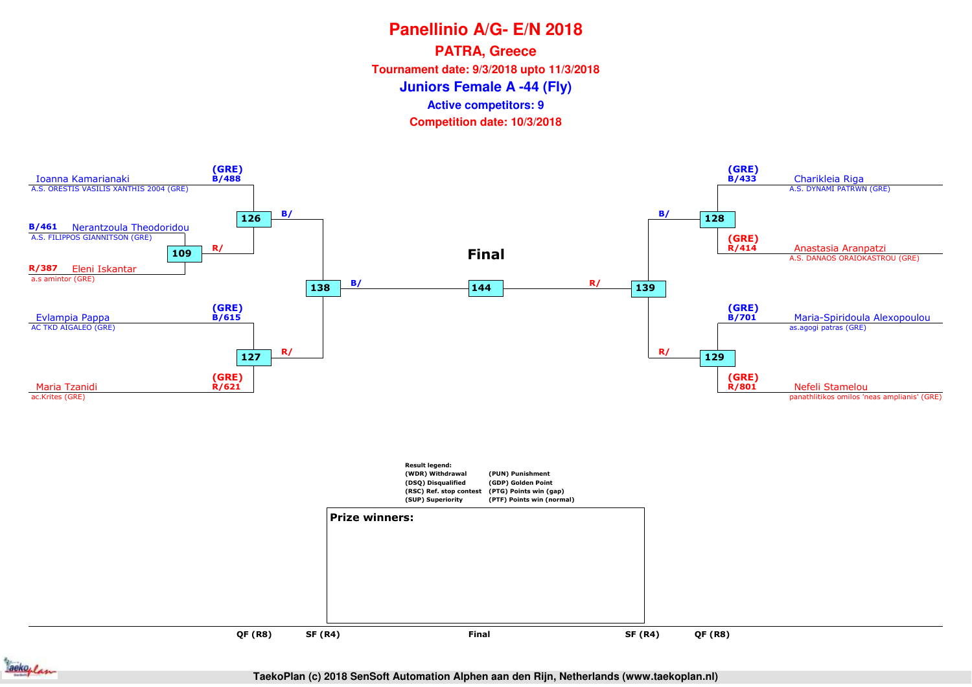# **Panellinio A/G- E/N 2018Juniors Female A -44 (Fly)PATRA, Greece Tournament date: 9/3/2018 upto 11/3/2018Competition date: 10/3/2018 Active competitors: 9**





**TaekoPlan (c) 2018 SenSoft Automation Alphen aan den Rijn, Netherlands (www.taekoplan.nl)**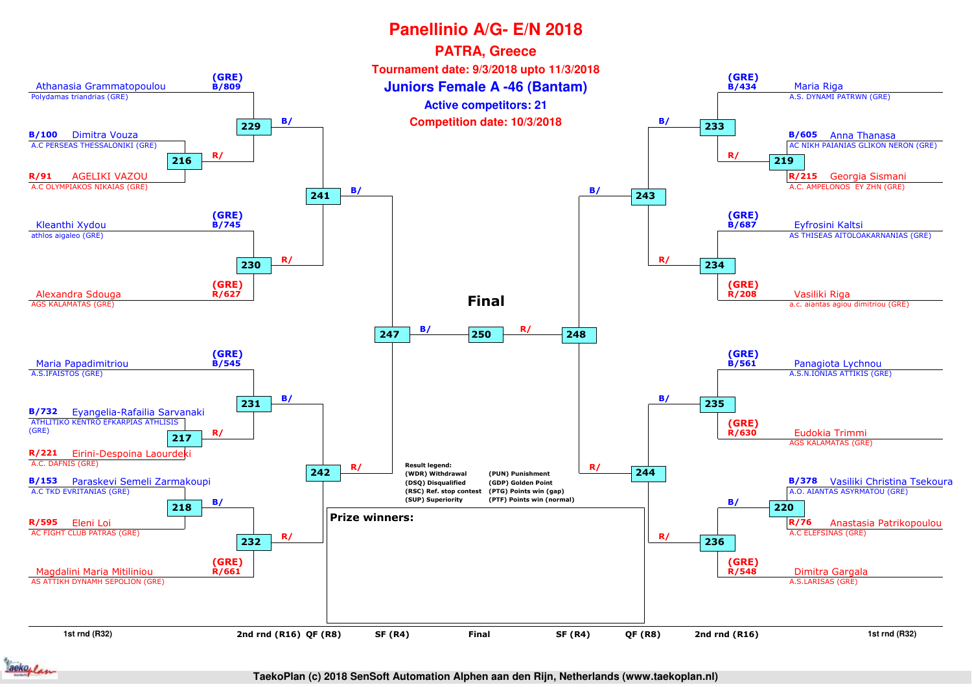

**TaekoPlan (c) 2018 SenSoft Automation Alphen aan den Rijn, Netherlands (www.taekoplan.nl)**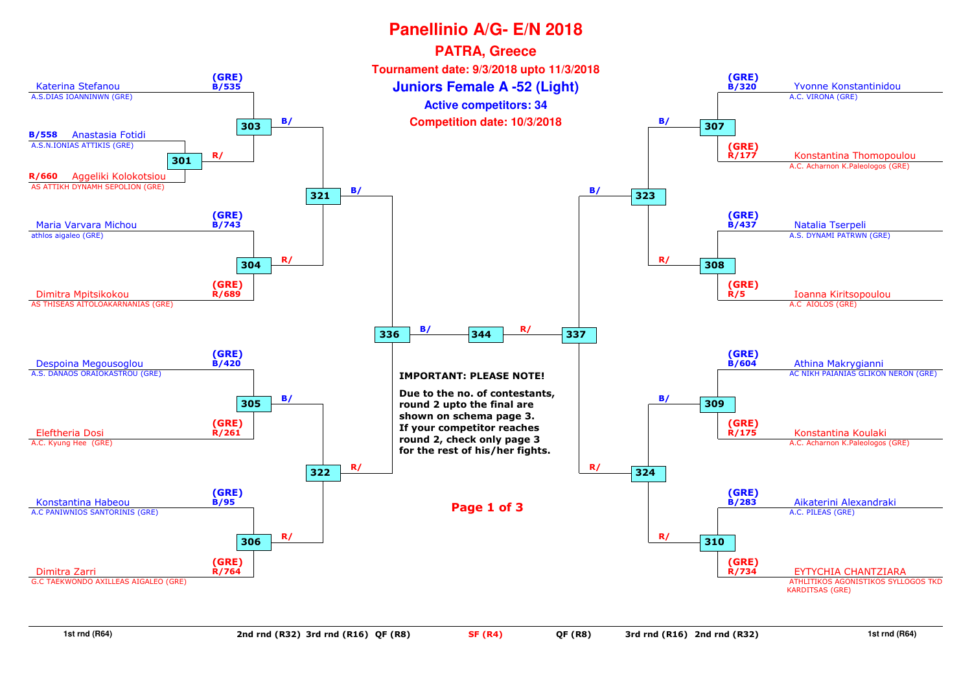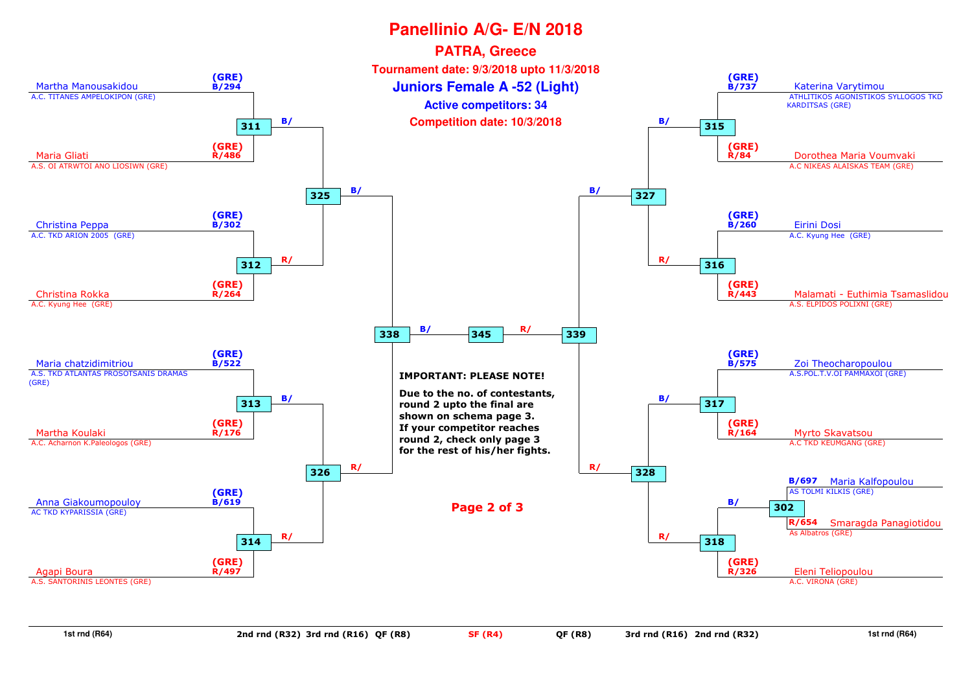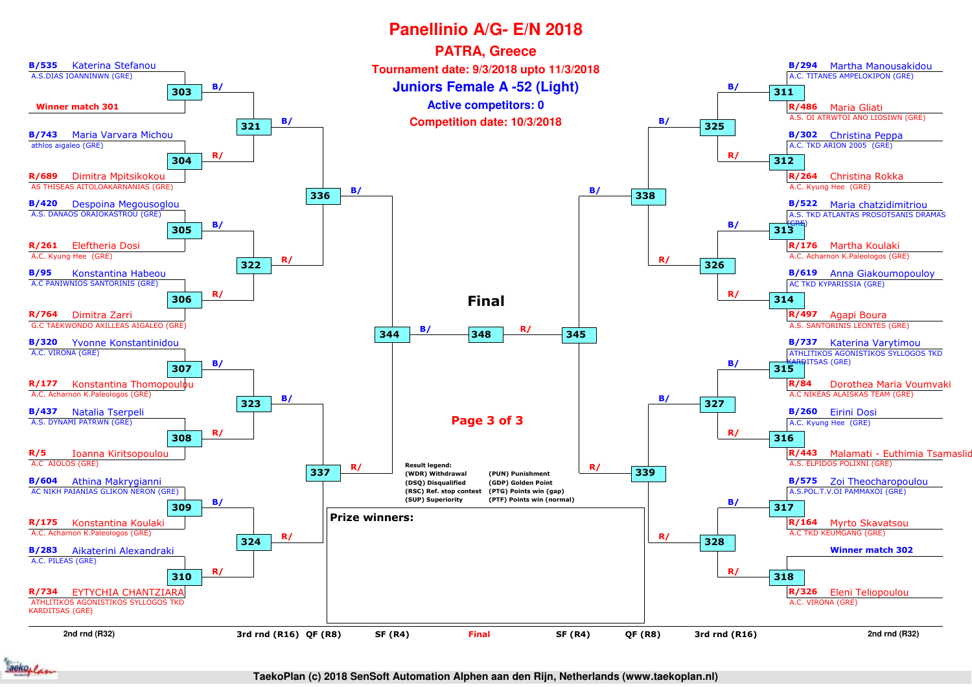

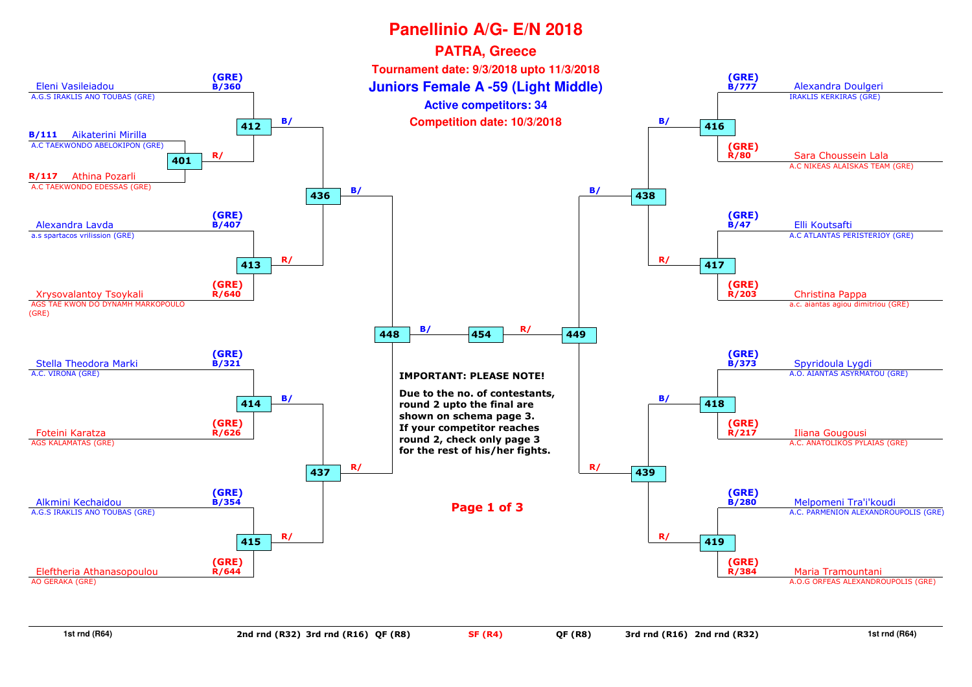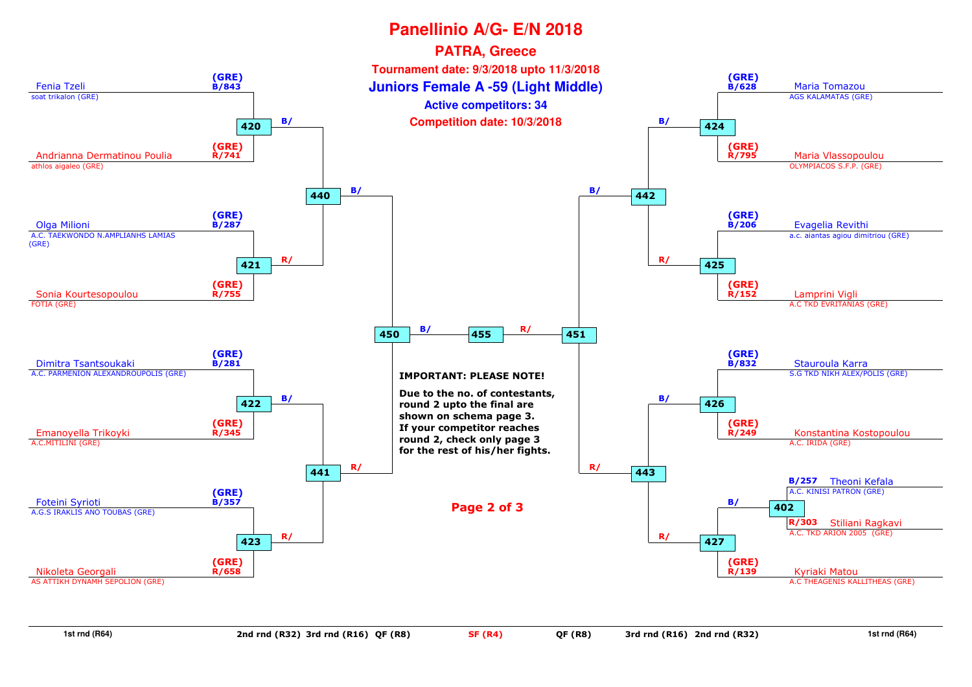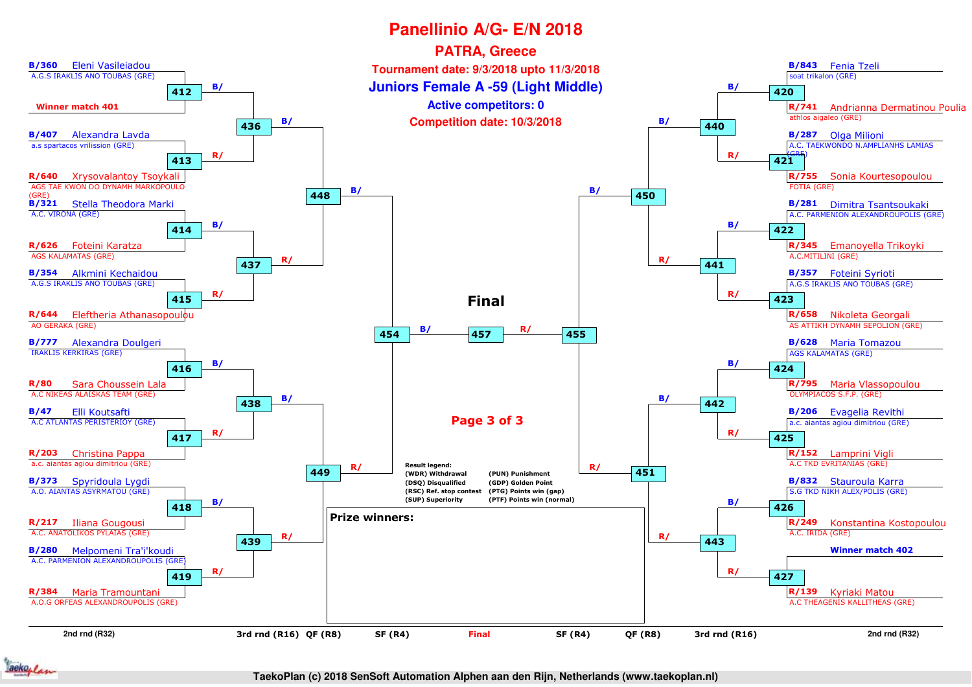